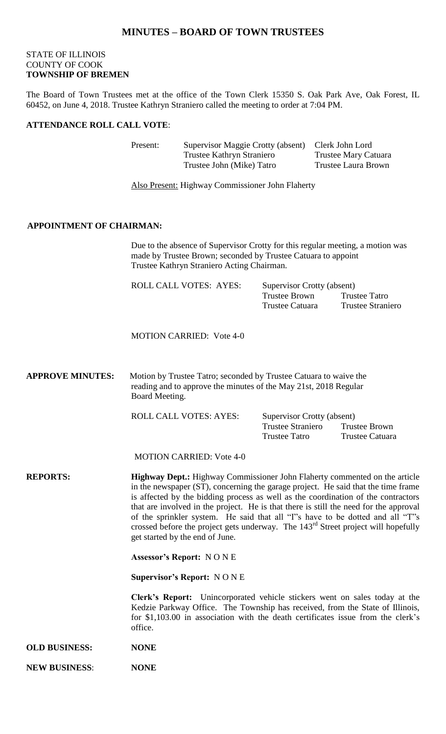## **MINUTES – BOARD OF TOWN TRUSTEES**

#### STATE OF ILLINOIS COUNTY OF COOK **TOWNSHIP OF BREMEN**

The Board of Town Trustees met at the office of the Town Clerk 15350 S. Oak Park Ave, Oak Forest, IL 60452, on June 4, 2018. Trustee Kathryn Straniero called the meeting to order at 7:04 PM.

#### **ATTENDANCE ROLL CALL VOTE**:

| Present: | Supervisor Maggie Crotty (absent) | Clerk John Lord             |
|----------|-----------------------------------|-----------------------------|
|          | Trustee Kathryn Straniero         | <b>Trustee Mary Catuara</b> |
|          | Trustee John (Mike) Tatro         | Trustee Laura Brown         |

Also Present: Highway Commissioner John Flaherty

#### **APPOINTMENT OF CHAIRMAN:**

Due to the absence of Supervisor Crotty for this regular meeting, a motion was made by Trustee Brown; seconded by Trustee Catuara to appoint Trustee Kathryn Straniero Acting Chairman.

| <b>ROLL CALL VOTES: AYES:</b> | Supervisor Crotty (absent) |                   |  |
|-------------------------------|----------------------------|-------------------|--|
|                               | Trustee Brown              | Trustee Tatro     |  |
|                               | Trustee Catuara            | Trustee Straniero |  |

MOTION CARRIED: Vote 4-0

**APPROVE MINUTES:** Motion by Trustee Tatro; seconded by Trustee Catuara to waive the reading and to approve the minutes of the May 21st, 2018 Regular Board Meeting.

ROLL CALL VOTES: AYES: Supervisor Crotty (absent)

Trustee Straniero Trustee Brown Trustee Tatro Trustee Catuara

MOTION CARRIED: Vote 4-0

**REPORTS: Highway Dept.:** Highway Commissioner John Flaherty commented on the article in the newspaper (ST), concerning the garage project. He said that the time frame is affected by the bidding process as well as the coordination of the contractors that are involved in the project. He is that there is still the need for the approval of the sprinkler system. He said that all "I"s have to be dotted and all "T"s crossed before the project gets underway. The 143rd Street project will hopefully get started by the end of June.

**Assessor's Report:** N O N E

**Supervisor's Report:** N O N E

**Clerk's Report:** Unincorporated vehicle stickers went on sales today at the Kedzie Parkway Office. The Township has received, from the State of Illinois, for \$1,103.00 in association with the death certificates issue from the clerk's office.

- **OLD BUSINESS: NONE**
- **NEW BUSINESS**: **NONE**